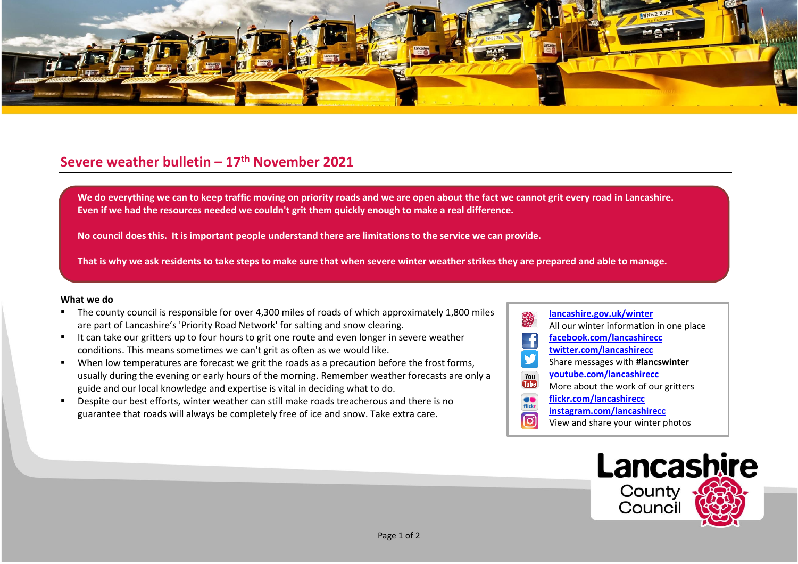

## **Severe weather bulletin – 17th November 2021**

We do everything we can to keep traffic moving on priority roads and we are open about the fact we cannot grit every road in Lancashire. **Even if we had the resources needed we couldn't grit them quickly enough to make a real difference.**

**No council does this. It is important people understand there are limitations to the service we can provide.**

**That is why we ask residents to take steps to make sure that when severe winter weather strikes they are prepared and able to manage.**

## **What we do**

- The county council is responsible for over 4,300 miles of roads of which approximately 1,800 miles are part of Lancashire's 'Priority Road Network' for salting and snow clearing.
- It can take our gritters up to four hours to grit one route and even longer in severe weather conditions. This means sometimes we can't grit as often as we would like.
- When low temperatures are forecast we grit the roads as a precaution before the frost forms, usually during the evening or early hours of the morning. Remember weather forecasts are only a guide and our local knowledge and expertise is vital in deciding what to do.
- Despite our best efforts, winter weather can still make roads treacherous and there is no guarantee that roads will always be completely free of ice and snow. Take extra care.
- **[lancashire.gov.uk/winter](http://www.lancashire.gov.uk/winter)** All our winter information in one place **[facebook.com/lancashirecc](http://www.facebook.com/lancashirecc) [twitter.com/lancashirecc](http://www.twitter.com/lancashirecc) y** Share messages with **#lancswinter [youtube.com/lancashirecc](http://www.youtube.com/lancashirecc)** You **Tilte** More about the work of our gritters  $\bullet$ **[flickr.com/lancashirecc](http://www.flickr.com/lancashirecc)** flickr **[instagram.com/lancashirecc](http://www.instagram.com/lancashirecc)** ြင View and share your winter photos